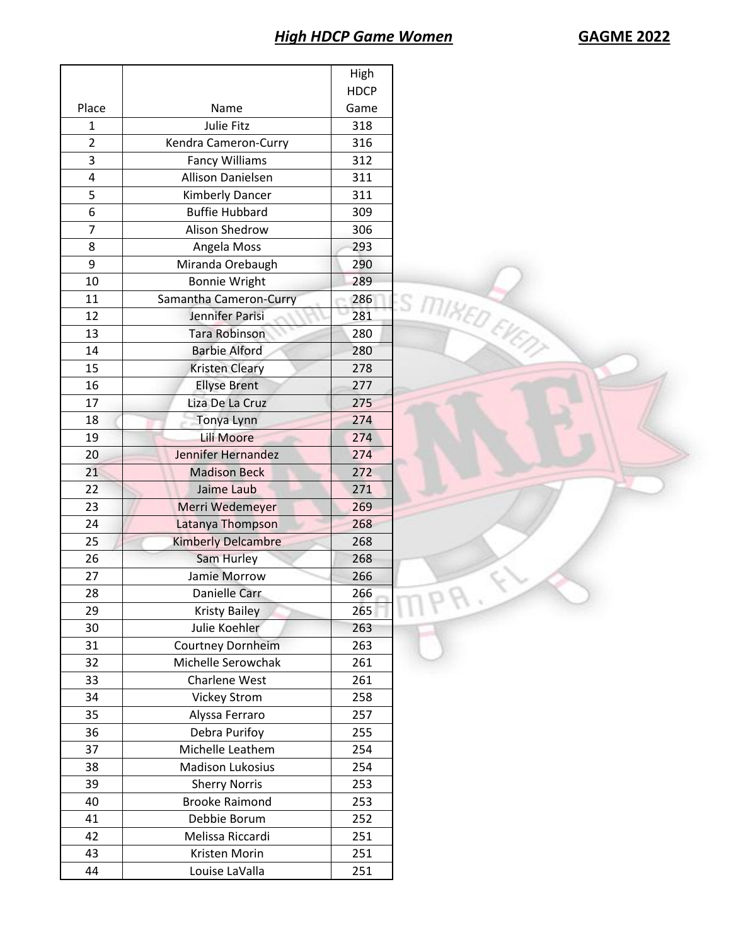| <b>HDCP</b><br>Place<br>Name<br>Game<br>Julie Fitz<br>318<br>$\mathbf{1}$<br>$\overline{2}$<br>316<br>Kendra Cameron-Curry<br>3<br><b>Fancy Williams</b><br>312<br><b>Allison Danielsen</b><br>4<br>311<br>5<br>Kimberly Dancer<br>311<br>6<br><b>Buffie Hubbard</b><br>309<br>$\overline{7}$<br>Alison Shedrow<br>306<br>8<br>Angela Moss<br>293<br>290<br>9<br>Miranda Orebaugh<br><b>Bonnie Wright</b><br>289<br>10<br>IS MIKED EVENT<br>11<br>Samantha Cameron-Curry<br>286<br>Jennifer Parisi<br>12<br>281<br>13<br><b>Tara Robinson</b><br>280<br><b>Barbie Alford</b><br>14<br>280<br><b>Kristen Cleary</b><br>15<br>278<br>16<br><b>Ellyse Brent</b><br>277<br>Liza De La Cruz<br>17<br>275<br>18<br>Tonya Lynn<br>274<br>Lili Moore<br>19<br>274<br>Jennifer Hernandez<br>20<br>274<br>21<br><b>Madison Beck</b><br>272<br>Jaime Laub<br>22<br>271<br>23<br>269<br>Merri Wedemeyer<br>24<br>Latanya Thompson<br>268<br>25<br>Kimberly Delcambre<br>268<br>26<br>Sam Hurley<br>268<br>27<br>Jamie Morrow<br>266<br>Danielle Carr<br>266<br>28<br>29<br><b>Kristy Bailey</b><br>265<br>Julie Koehler<br>263<br>30<br>Courtney Dornheim<br>31<br>263<br>Michelle Serowchak<br>32<br>261<br>Charlene West<br>261<br>33<br>34<br><b>Vickey Strom</b><br>258<br>35<br>Alyssa Ferraro<br>257<br>Debra Purifoy<br>36<br>255<br>37<br>Michelle Leathem<br>254<br>38<br><b>Madison Lukosius</b><br>254<br>39<br><b>Sherry Norris</b><br>253<br><b>Brooke Raimond</b><br>40<br>253<br>Debbie Borum<br>41<br>252<br>42<br>Melissa Riccardi<br>251<br>Kristen Morin<br>43<br>251 |    |                | High |  |
|------------------------------------------------------------------------------------------------------------------------------------------------------------------------------------------------------------------------------------------------------------------------------------------------------------------------------------------------------------------------------------------------------------------------------------------------------------------------------------------------------------------------------------------------------------------------------------------------------------------------------------------------------------------------------------------------------------------------------------------------------------------------------------------------------------------------------------------------------------------------------------------------------------------------------------------------------------------------------------------------------------------------------------------------------------------------------------------------------------------------------------------------------------------------------------------------------------------------------------------------------------------------------------------------------------------------------------------------------------------------------------------------------------------------------------------------------------------------------------------------------------------------------------------------------------------------------|----|----------------|------|--|
|                                                                                                                                                                                                                                                                                                                                                                                                                                                                                                                                                                                                                                                                                                                                                                                                                                                                                                                                                                                                                                                                                                                                                                                                                                                                                                                                                                                                                                                                                                                                                                              |    |                |      |  |
|                                                                                                                                                                                                                                                                                                                                                                                                                                                                                                                                                                                                                                                                                                                                                                                                                                                                                                                                                                                                                                                                                                                                                                                                                                                                                                                                                                                                                                                                                                                                                                              |    |                |      |  |
|                                                                                                                                                                                                                                                                                                                                                                                                                                                                                                                                                                                                                                                                                                                                                                                                                                                                                                                                                                                                                                                                                                                                                                                                                                                                                                                                                                                                                                                                                                                                                                              |    |                |      |  |
|                                                                                                                                                                                                                                                                                                                                                                                                                                                                                                                                                                                                                                                                                                                                                                                                                                                                                                                                                                                                                                                                                                                                                                                                                                                                                                                                                                                                                                                                                                                                                                              |    |                |      |  |
|                                                                                                                                                                                                                                                                                                                                                                                                                                                                                                                                                                                                                                                                                                                                                                                                                                                                                                                                                                                                                                                                                                                                                                                                                                                                                                                                                                                                                                                                                                                                                                              |    |                |      |  |
|                                                                                                                                                                                                                                                                                                                                                                                                                                                                                                                                                                                                                                                                                                                                                                                                                                                                                                                                                                                                                                                                                                                                                                                                                                                                                                                                                                                                                                                                                                                                                                              |    |                |      |  |
|                                                                                                                                                                                                                                                                                                                                                                                                                                                                                                                                                                                                                                                                                                                                                                                                                                                                                                                                                                                                                                                                                                                                                                                                                                                                                                                                                                                                                                                                                                                                                                              |    |                |      |  |
|                                                                                                                                                                                                                                                                                                                                                                                                                                                                                                                                                                                                                                                                                                                                                                                                                                                                                                                                                                                                                                                                                                                                                                                                                                                                                                                                                                                                                                                                                                                                                                              |    |                |      |  |
|                                                                                                                                                                                                                                                                                                                                                                                                                                                                                                                                                                                                                                                                                                                                                                                                                                                                                                                                                                                                                                                                                                                                                                                                                                                                                                                                                                                                                                                                                                                                                                              |    |                |      |  |
|                                                                                                                                                                                                                                                                                                                                                                                                                                                                                                                                                                                                                                                                                                                                                                                                                                                                                                                                                                                                                                                                                                                                                                                                                                                                                                                                                                                                                                                                                                                                                                              |    |                |      |  |
|                                                                                                                                                                                                                                                                                                                                                                                                                                                                                                                                                                                                                                                                                                                                                                                                                                                                                                                                                                                                                                                                                                                                                                                                                                                                                                                                                                                                                                                                                                                                                                              |    |                |      |  |
|                                                                                                                                                                                                                                                                                                                                                                                                                                                                                                                                                                                                                                                                                                                                                                                                                                                                                                                                                                                                                                                                                                                                                                                                                                                                                                                                                                                                                                                                                                                                                                              |    |                |      |  |
|                                                                                                                                                                                                                                                                                                                                                                                                                                                                                                                                                                                                                                                                                                                                                                                                                                                                                                                                                                                                                                                                                                                                                                                                                                                                                                                                                                                                                                                                                                                                                                              |    |                |      |  |
|                                                                                                                                                                                                                                                                                                                                                                                                                                                                                                                                                                                                                                                                                                                                                                                                                                                                                                                                                                                                                                                                                                                                                                                                                                                                                                                                                                                                                                                                                                                                                                              |    |                |      |  |
|                                                                                                                                                                                                                                                                                                                                                                                                                                                                                                                                                                                                                                                                                                                                                                                                                                                                                                                                                                                                                                                                                                                                                                                                                                                                                                                                                                                                                                                                                                                                                                              |    |                |      |  |
|                                                                                                                                                                                                                                                                                                                                                                                                                                                                                                                                                                                                                                                                                                                                                                                                                                                                                                                                                                                                                                                                                                                                                                                                                                                                                                                                                                                                                                                                                                                                                                              |    |                |      |  |
|                                                                                                                                                                                                                                                                                                                                                                                                                                                                                                                                                                                                                                                                                                                                                                                                                                                                                                                                                                                                                                                                                                                                                                                                                                                                                                                                                                                                                                                                                                                                                                              |    |                |      |  |
|                                                                                                                                                                                                                                                                                                                                                                                                                                                                                                                                                                                                                                                                                                                                                                                                                                                                                                                                                                                                                                                                                                                                                                                                                                                                                                                                                                                                                                                                                                                                                                              |    |                |      |  |
|                                                                                                                                                                                                                                                                                                                                                                                                                                                                                                                                                                                                                                                                                                                                                                                                                                                                                                                                                                                                                                                                                                                                                                                                                                                                                                                                                                                                                                                                                                                                                                              |    |                |      |  |
|                                                                                                                                                                                                                                                                                                                                                                                                                                                                                                                                                                                                                                                                                                                                                                                                                                                                                                                                                                                                                                                                                                                                                                                                                                                                                                                                                                                                                                                                                                                                                                              |    |                |      |  |
|                                                                                                                                                                                                                                                                                                                                                                                                                                                                                                                                                                                                                                                                                                                                                                                                                                                                                                                                                                                                                                                                                                                                                                                                                                                                                                                                                                                                                                                                                                                                                                              |    |                |      |  |
|                                                                                                                                                                                                                                                                                                                                                                                                                                                                                                                                                                                                                                                                                                                                                                                                                                                                                                                                                                                                                                                                                                                                                                                                                                                                                                                                                                                                                                                                                                                                                                              |    |                |      |  |
|                                                                                                                                                                                                                                                                                                                                                                                                                                                                                                                                                                                                                                                                                                                                                                                                                                                                                                                                                                                                                                                                                                                                                                                                                                                                                                                                                                                                                                                                                                                                                                              |    |                |      |  |
|                                                                                                                                                                                                                                                                                                                                                                                                                                                                                                                                                                                                                                                                                                                                                                                                                                                                                                                                                                                                                                                                                                                                                                                                                                                                                                                                                                                                                                                                                                                                                                              |    |                |      |  |
|                                                                                                                                                                                                                                                                                                                                                                                                                                                                                                                                                                                                                                                                                                                                                                                                                                                                                                                                                                                                                                                                                                                                                                                                                                                                                                                                                                                                                                                                                                                                                                              |    |                |      |  |
|                                                                                                                                                                                                                                                                                                                                                                                                                                                                                                                                                                                                                                                                                                                                                                                                                                                                                                                                                                                                                                                                                                                                                                                                                                                                                                                                                                                                                                                                                                                                                                              |    |                |      |  |
|                                                                                                                                                                                                                                                                                                                                                                                                                                                                                                                                                                                                                                                                                                                                                                                                                                                                                                                                                                                                                                                                                                                                                                                                                                                                                                                                                                                                                                                                                                                                                                              |    |                |      |  |
|                                                                                                                                                                                                                                                                                                                                                                                                                                                                                                                                                                                                                                                                                                                                                                                                                                                                                                                                                                                                                                                                                                                                                                                                                                                                                                                                                                                                                                                                                                                                                                              |    |                |      |  |
|                                                                                                                                                                                                                                                                                                                                                                                                                                                                                                                                                                                                                                                                                                                                                                                                                                                                                                                                                                                                                                                                                                                                                                                                                                                                                                                                                                                                                                                                                                                                                                              |    |                |      |  |
|                                                                                                                                                                                                                                                                                                                                                                                                                                                                                                                                                                                                                                                                                                                                                                                                                                                                                                                                                                                                                                                                                                                                                                                                                                                                                                                                                                                                                                                                                                                                                                              |    |                |      |  |
|                                                                                                                                                                                                                                                                                                                                                                                                                                                                                                                                                                                                                                                                                                                                                                                                                                                                                                                                                                                                                                                                                                                                                                                                                                                                                                                                                                                                                                                                                                                                                                              |    |                |      |  |
|                                                                                                                                                                                                                                                                                                                                                                                                                                                                                                                                                                                                                                                                                                                                                                                                                                                                                                                                                                                                                                                                                                                                                                                                                                                                                                                                                                                                                                                                                                                                                                              |    |                |      |  |
|                                                                                                                                                                                                                                                                                                                                                                                                                                                                                                                                                                                                                                                                                                                                                                                                                                                                                                                                                                                                                                                                                                                                                                                                                                                                                                                                                                                                                                                                                                                                                                              |    |                |      |  |
|                                                                                                                                                                                                                                                                                                                                                                                                                                                                                                                                                                                                                                                                                                                                                                                                                                                                                                                                                                                                                                                                                                                                                                                                                                                                                                                                                                                                                                                                                                                                                                              |    |                |      |  |
|                                                                                                                                                                                                                                                                                                                                                                                                                                                                                                                                                                                                                                                                                                                                                                                                                                                                                                                                                                                                                                                                                                                                                                                                                                                                                                                                                                                                                                                                                                                                                                              |    |                |      |  |
|                                                                                                                                                                                                                                                                                                                                                                                                                                                                                                                                                                                                                                                                                                                                                                                                                                                                                                                                                                                                                                                                                                                                                                                                                                                                                                                                                                                                                                                                                                                                                                              |    |                |      |  |
|                                                                                                                                                                                                                                                                                                                                                                                                                                                                                                                                                                                                                                                                                                                                                                                                                                                                                                                                                                                                                                                                                                                                                                                                                                                                                                                                                                                                                                                                                                                                                                              |    |                |      |  |
|                                                                                                                                                                                                                                                                                                                                                                                                                                                                                                                                                                                                                                                                                                                                                                                                                                                                                                                                                                                                                                                                                                                                                                                                                                                                                                                                                                                                                                                                                                                                                                              |    |                |      |  |
|                                                                                                                                                                                                                                                                                                                                                                                                                                                                                                                                                                                                                                                                                                                                                                                                                                                                                                                                                                                                                                                                                                                                                                                                                                                                                                                                                                                                                                                                                                                                                                              |    |                |      |  |
|                                                                                                                                                                                                                                                                                                                                                                                                                                                                                                                                                                                                                                                                                                                                                                                                                                                                                                                                                                                                                                                                                                                                                                                                                                                                                                                                                                                                                                                                                                                                                                              |    |                |      |  |
|                                                                                                                                                                                                                                                                                                                                                                                                                                                                                                                                                                                                                                                                                                                                                                                                                                                                                                                                                                                                                                                                                                                                                                                                                                                                                                                                                                                                                                                                                                                                                                              |    |                |      |  |
|                                                                                                                                                                                                                                                                                                                                                                                                                                                                                                                                                                                                                                                                                                                                                                                                                                                                                                                                                                                                                                                                                                                                                                                                                                                                                                                                                                                                                                                                                                                                                                              |    |                |      |  |
|                                                                                                                                                                                                                                                                                                                                                                                                                                                                                                                                                                                                                                                                                                                                                                                                                                                                                                                                                                                                                                                                                                                                                                                                                                                                                                                                                                                                                                                                                                                                                                              |    |                |      |  |
|                                                                                                                                                                                                                                                                                                                                                                                                                                                                                                                                                                                                                                                                                                                                                                                                                                                                                                                                                                                                                                                                                                                                                                                                                                                                                                                                                                                                                                                                                                                                                                              |    |                |      |  |
|                                                                                                                                                                                                                                                                                                                                                                                                                                                                                                                                                                                                                                                                                                                                                                                                                                                                                                                                                                                                                                                                                                                                                                                                                                                                                                                                                                                                                                                                                                                                                                              |    |                |      |  |
|                                                                                                                                                                                                                                                                                                                                                                                                                                                                                                                                                                                                                                                                                                                                                                                                                                                                                                                                                                                                                                                                                                                                                                                                                                                                                                                                                                                                                                                                                                                                                                              | 44 | Louise LaValla | 251  |  |